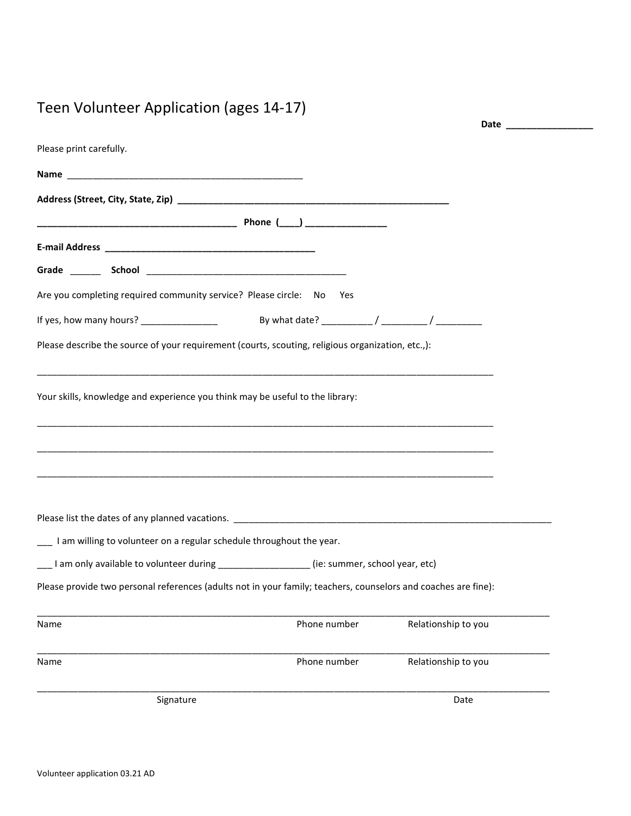## Teen Volunteer Application (ages 14-17)

|                                                                                                                | Date ____________   |
|----------------------------------------------------------------------------------------------------------------|---------------------|
| Please print carefully.                                                                                        |                     |
|                                                                                                                |                     |
|                                                                                                                |                     |
|                                                                                                                |                     |
|                                                                                                                |                     |
|                                                                                                                |                     |
| Are you completing required community service? Please circle: No Yes                                           |                     |
|                                                                                                                |                     |
| Please describe the source of your requirement (courts, scouting, religious organization, etc.,):              |                     |
|                                                                                                                |                     |
| Your skills, knowledge and experience you think may be useful to the library:                                  |                     |
|                                                                                                                |                     |
|                                                                                                                |                     |
|                                                                                                                |                     |
|                                                                                                                |                     |
|                                                                                                                |                     |
| I am willing to volunteer on a regular schedule throughout the year.                                           |                     |
| ___I am only available to volunteer during _______________(ie: summer, school year, etc)                       |                     |
| Please provide two personal references (adults not in your family; teachers, counselors and coaches are fine): |                     |
|                                                                                                                |                     |
| Phone number<br>Name                                                                                           | Relationship to you |
| Phone number<br>Name                                                                                           | Relationship to you |
|                                                                                                                |                     |
| Signature                                                                                                      | Date                |